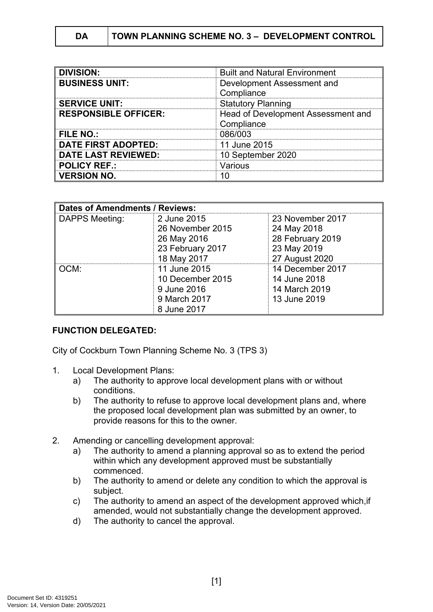| DA | <b>TOWN PLANNING SCHEME NO. 3 - DEVELOPMENT CONTROL</b> |
|----|---------------------------------------------------------|
|----|---------------------------------------------------------|

| <b>DIVISION:</b>            | <b>Built and Natural Environment</b> |  |
|-----------------------------|--------------------------------------|--|
| <b>BUSINESS UNIT:</b>       | Development Assessment and           |  |
|                             | Compliance                           |  |
| <b>SERVICE UNIT:</b>        | <b>Statutory Planning</b>            |  |
| <b>RESPONSIBLE OFFICER:</b> | Head of Development Assessment and   |  |
|                             | Compliance                           |  |
| <b>FILE NO.:</b>            | 086/003                              |  |
| <b>DATE FIRST ADOPTED:</b>  | 11 June 2015                         |  |
| <b>DATE LAST REVIEWED:</b>  | 10 September 2020                    |  |
| <b>POLICY REF.:</b>         | Various                              |  |
| <b>VERSION NO.</b>          |                                      |  |

| <b>Dates of Amendments / Reviews:</b> |                  |                  |  |
|---------------------------------------|------------------|------------------|--|
| DAPPS Meeting:                        | 2 June 2015      | 23 November 2017 |  |
|                                       | 26 November 2015 | 24 May 2018      |  |
|                                       | 26 May 2016      | 28 February 2019 |  |
|                                       | 23 February 2017 | 23 May 2019      |  |
|                                       | 18 May 2017      | 27 August 2020   |  |
| OCM:                                  | 11 June 2015     | 14 December 2017 |  |
|                                       | 10 December 2015 | 14 June 2018     |  |
|                                       | 9 June 2016      | 14 March 2019    |  |
|                                       | 9 March 2017     | 13 June 2019     |  |
|                                       | 8 June 2017      |                  |  |

### **FUNCTION DELEGATED:**

City of Cockburn Town Planning Scheme No. 3 (TPS 3)

- 1. Local Development Plans:
	- a) The authority to approve local development plans with or without conditions.
	- b) The authority to refuse to approve local development plans and, where the proposed local development plan was submitted by an owner, to provide reasons for this to the owner.
- 2. Amending or cancelling development approval:
	- a) The authority to amend a planning approval so as to extend the period within which any development approved must be substantially commenced.
	- b) The authority to amend or delete any condition to which the approval is subject.
	- c) The authority to amend an aspect of the development approved which,if amended, would not substantially change the development approved.
	- d) The authority to cancel the approval.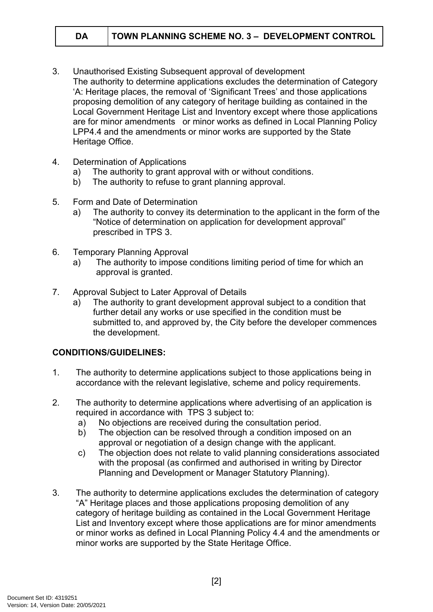- 3. Unauthorised Existing Subsequent approval of development The authority to determine applications excludes the determination of Category 'A: Heritage places, the removal of 'Significant Trees' and those applications proposing demolition of any category of heritage building as contained in the Local Government Heritage List and Inventory except where those applications are for minor amendments or minor works as defined in Local Planning Policy LPP4.4 and the amendments or minor works are supported by the State Heritage Office.
- 4. Determination of Applications
	- a) The authority to grant approval with or without conditions.
	- b) The authority to refuse to grant planning approval.
- 5. Form and Date of Determination
	- a) The authority to convey its determination to the applicant in the form of the "Notice of determination on application for development approval" prescribed in TPS 3.
- 6. Temporary Planning Approval
	- a) The authority to impose conditions limiting period of time for which an approval is granted.
- 7. Approval Subject to Later Approval of Details
	- a) The authority to grant development approval subject to a condition that further detail any works or use specified in the condition must be submitted to, and approved by, the City before the developer commences the development.

# **CONDITIONS/GUIDELINES:**

- 1. The authority to determine applications subject to those applications being in accordance with the relevant legislative, scheme and policy requirements.
- 2. The authority to determine applications where advertising of an application is required in accordance with TPS 3 subject to:
	- a) No objections are received during the consultation period.
	- b) The objection can be resolved through a condition imposed on an approval or negotiation of a design change with the applicant.
	- c) The objection does not relate to valid planning considerations associated with the proposal (as confirmed and authorised in writing by Director Planning and Development or Manager Statutory Planning).
- 3. The authority to determine applications excludes the determination of category "A" Heritage places and those applications proposing demolition of any category of heritage building as contained in the Local Government Heritage List and Inventory except where those applications are for minor amendments or minor works as defined in Local Planning Policy 4.4 and the amendments or minor works are supported by the State Heritage Office.